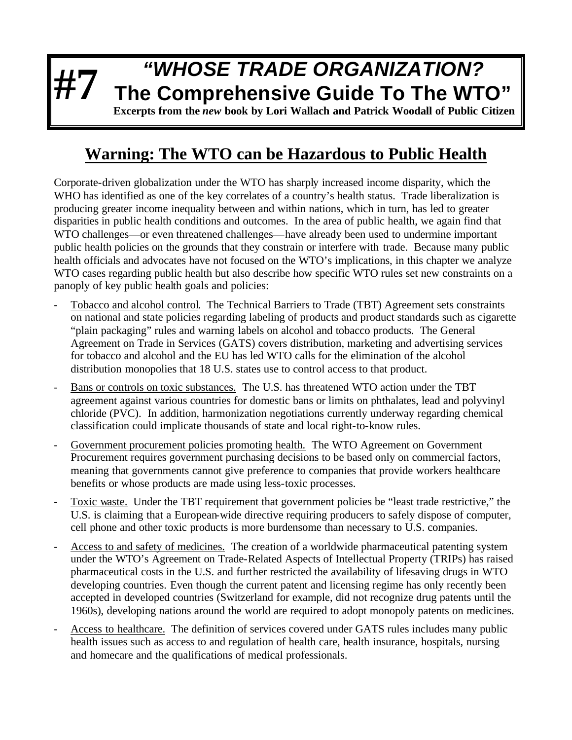## **#7** *"WHOSE TRADE ORGANIZATION?* **The Comprehensive Guide To The WTO"**

**Excerpts from the** *new* **book by Lori Wallach and Patrick Woodall of Public Citizen**

## **Warning: The WTO can be Hazardous to Public Health**

Corporate-driven globalization under the WTO has sharply increased income disparity, which the WHO has identified as one of the key correlates of a country's health status. Trade liberalization is producing greater income inequality between and within nations, which in turn, has led to greater disparities in public health conditions and outcomes. In the area of public health, we again find that WTO challenges—or even threatened challenges—have already been used to undermine important public health policies on the grounds that they constrain or interfere with trade. Because many public health officials and advocates have not focused on the WTO's implications, in this chapter we analyze WTO cases regarding public health but also describe how specific WTO rules set new constraints on a panoply of key public health goals and policies:

- Tobacco and alcohol control.The Technical Barriers to Trade (TBT) Agreement sets constraints on national and state policies regarding labeling of products and product standards such as cigarette "plain packaging" rules and warning labels on alcohol and tobacco products. The General Agreement on Trade in Services (GATS) covers distribution, marketing and advertising services for tobacco and alcohol and the EU has led WTO calls for the elimination of the alcohol distribution monopolies that 18 U.S. states use to control access to that product.
- Bans or controls on toxic substances.The U.S. has threatened WTO action under the TBT agreement against various countries for domestic bans or limits on phthalates, lead and polyvinyl chloride (PVC). In addition, harmonization negotiations currently underway regarding chemical classification could implicate thousands of state and local right-to-know rules.
- Government procurement policies promoting health.The WTO Agreement on Government Procurement requires government purchasing decisions to be based only on commercial factors, meaning that governments cannot give preference to companies that provide workers healthcare benefits or whose products are made using less-toxic processes.
- Toxic waste. Under the TBT requirement that government policies be "least trade restrictive," the U.S. is claiming that a European-wide directive requiring producers to safely dispose of computer, cell phone and other toxic products is more burdensome than necessary to U.S. companies.
- Access to and safety of medicines.The creation of a worldwide pharmaceutical patenting system under the WTO's Agreement on Trade-Related Aspects of Intellectual Property (TRIPs) has raised pharmaceutical costs in the U.S. and further restricted the availability of lifesaving drugs in WTO developing countries. Even though the current patent and licensing regime has only recently been accepted in developed countries (Switzerland for example, did not recognize drug patents until the 1960s), developing nations around the world are required to adopt monopoly patents on medicines.
- Access to healthcare. The definition of services covered under GATS rules includes many public health issues such as access to and regulation of health care, health insurance, hospitals, nursing and homecare and the qualifications of medical professionals.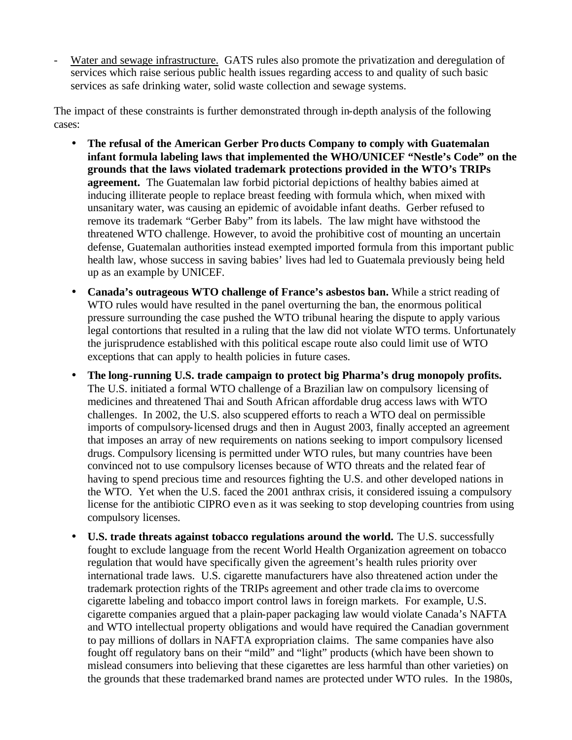Water and sewage infrastructure. GATS rules also promote the privatization and deregulation of services which raise serious public health issues regarding access to and quality of such basic services as safe drinking water, solid waste collection and sewage systems.

The impact of these constraints is further demonstrated through in-depth analysis of the following cases:

- **The refusal of the American Gerber Products Company to comply with Guatemalan infant formula labeling laws that implemented the WHO/UNICEF "Nestle's Code" on the grounds that the laws violated trademark protections provided in the WTO's TRIPs agreement.** The Guatemalan law forbid pictorial depictions of healthy babies aimed at inducing illiterate people to replace breast feeding with formula which, when mixed with unsanitary water, was causing an epidemic of avoidable infant deaths. Gerber refused to remove its trademark "Gerber Baby" from its labels. The law might have withstood the threatened WTO challenge. However, to avoid the prohibitive cost of mounting an uncertain defense, Guatemalan authorities instead exempted imported formula from this important public health law, whose success in saving babies' lives had led to Guatemala previously being held up as an example by UNICEF.
- **Canada's outrageous WTO challenge of France's asbestos ban.** While a strict reading of WTO rules would have resulted in the panel overturning the ban, the enormous political pressure surrounding the case pushed the WTO tribunal hearing the dispute to apply various legal contortions that resulted in a ruling that the law did not violate WTO terms. Unfortunately the jurisprudence established with this political escape route also could limit use of WTO exceptions that can apply to health policies in future cases.
- **The long-running U.S. trade campaign to protect big Pharma's drug monopoly profits.**  The U.S. initiated a formal WTO challenge of a Brazilian law on compulsory licensing of medicines and threatened Thai and South African affordable drug access laws with WTO challenges. In 2002, the U.S. also scuppered efforts to reach a WTO deal on permissible imports of compulsory-licensed drugs and then in August 2003, finally accepted an agreement that imposes an array of new requirements on nations seeking to import compulsory licensed drugs. Compulsory licensing is permitted under WTO rules, but many countries have been convinced not to use compulsory licenses because of WTO threats and the related fear of having to spend precious time and resources fighting the U.S. and other developed nations in the WTO. Yet when the U.S. faced the 2001 anthrax crisis, it considered issuing a compulsory license for the antibiotic CIPRO even as it was seeking to stop developing countries from using compulsory licenses.
- **U.S. trade threats against tobacco regulations around the world.** The U.S. successfully fought to exclude language from the recent World Health Organization agreement on tobacco regulation that would have specifically given the agreement's health rules priority over international trade laws. U.S. cigarette manufacturers have also threatened action under the trademark protection rights of the TRIPs agreement and other trade cla ims to overcome cigarette labeling and tobacco import control laws in foreign markets. For example, U.S. cigarette companies argued that a plain-paper packaging law would violate Canada's NAFTA and WTO intellectual property obligations and would have required the Canadian government to pay millions of dollars in NAFTA expropriation claims. The same companies have also fought off regulatory bans on their "mild" and "light" products (which have been shown to mislead consumers into believing that these cigarettes are less harmful than other varieties) on the grounds that these trademarked brand names are protected under WTO rules. In the 1980s,